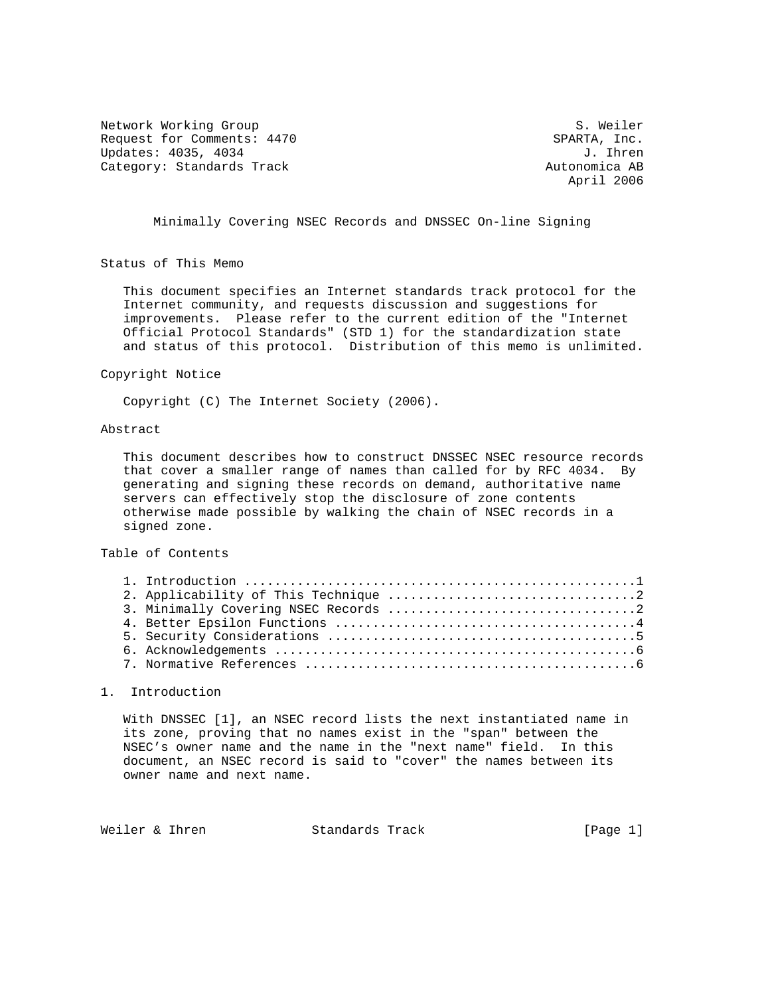Network Working Group S. Weiler Request for Comments: 4470 SPARTA, Inc.<br>Updates: 4035, 4034 J. Ihren Updates: 4035, 4034 Category: Standards Track Autonomica AB

April 2006

Minimally Covering NSEC Records and DNSSEC On-line Signing

Status of This Memo

 This document specifies an Internet standards track protocol for the Internet community, and requests discussion and suggestions for improvements. Please refer to the current edition of the "Internet Official Protocol Standards" (STD 1) for the standardization state and status of this protocol. Distribution of this memo is unlimited.

#### Copyright Notice

Copyright (C) The Internet Society (2006).

# Abstract

 This document describes how to construct DNSSEC NSEC resource records that cover a smaller range of names than called for by RFC 4034. By generating and signing these records on demand, authoritative name servers can effectively stop the disclosure of zone contents otherwise made possible by walking the chain of NSEC records in a signed zone.

## Table of Contents

### 1. Introduction

 With DNSSEC [1], an NSEC record lists the next instantiated name in its zone, proving that no names exist in the "span" between the NSEC's owner name and the name in the "next name" field. In this document, an NSEC record is said to "cover" the names between its owner name and next name.

Weiler & Ihren Standards Track [Page 1]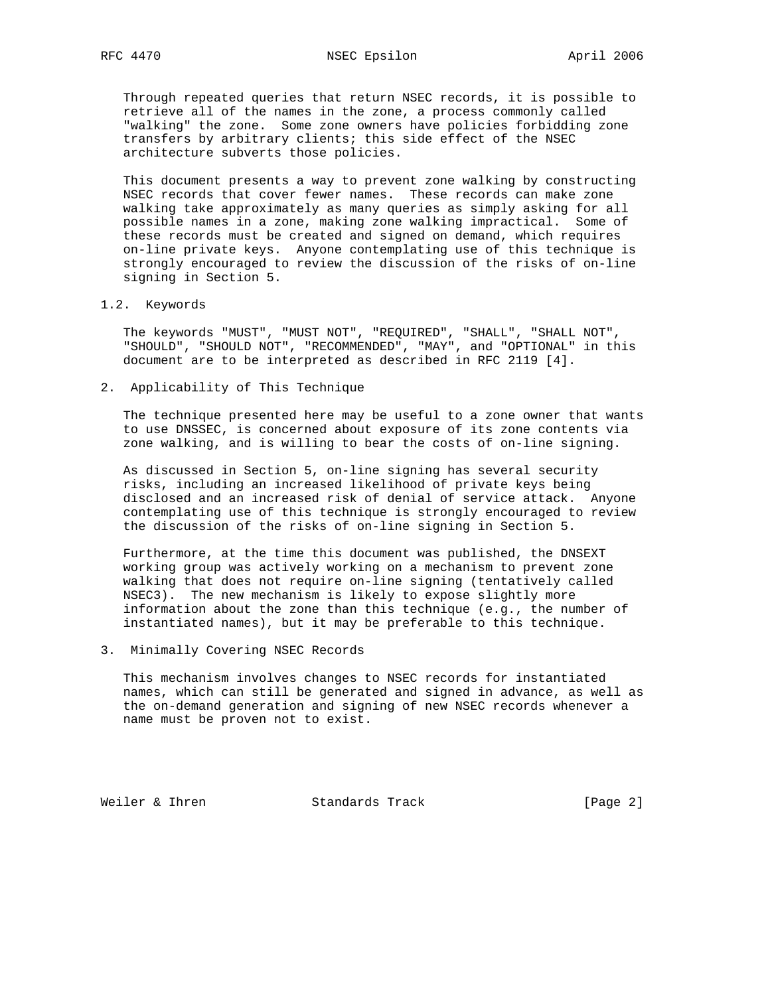Through repeated queries that return NSEC records, it is possible to retrieve all of the names in the zone, a process commonly called "walking" the zone. Some zone owners have policies forbidding zone transfers by arbitrary clients; this side effect of the NSEC architecture subverts those policies.

 This document presents a way to prevent zone walking by constructing NSEC records that cover fewer names. These records can make zone walking take approximately as many queries as simply asking for all possible names in a zone, making zone walking impractical. Some of these records must be created and signed on demand, which requires on-line private keys. Anyone contemplating use of this technique is strongly encouraged to review the discussion of the risks of on-line signing in Section 5.

### 1.2. Keywords

 The keywords "MUST", "MUST NOT", "REQUIRED", "SHALL", "SHALL NOT", "SHOULD", "SHOULD NOT", "RECOMMENDED", "MAY", and "OPTIONAL" in this document are to be interpreted as described in RFC 2119 [4].

2. Applicability of This Technique

 The technique presented here may be useful to a zone owner that wants to use DNSSEC, is concerned about exposure of its zone contents via zone walking, and is willing to bear the costs of on-line signing.

 As discussed in Section 5, on-line signing has several security risks, including an increased likelihood of private keys being disclosed and an increased risk of denial of service attack. Anyone contemplating use of this technique is strongly encouraged to review the discussion of the risks of on-line signing in Section 5.

 Furthermore, at the time this document was published, the DNSEXT working group was actively working on a mechanism to prevent zone walking that does not require on-line signing (tentatively called NSEC3). The new mechanism is likely to expose slightly more information about the zone than this technique (e.g., the number of instantiated names), but it may be preferable to this technique.

3. Minimally Covering NSEC Records

 This mechanism involves changes to NSEC records for instantiated names, which can still be generated and signed in advance, as well as the on-demand generation and signing of new NSEC records whenever a name must be proven not to exist.

Weiler & Ihren Standards Track [Page 2]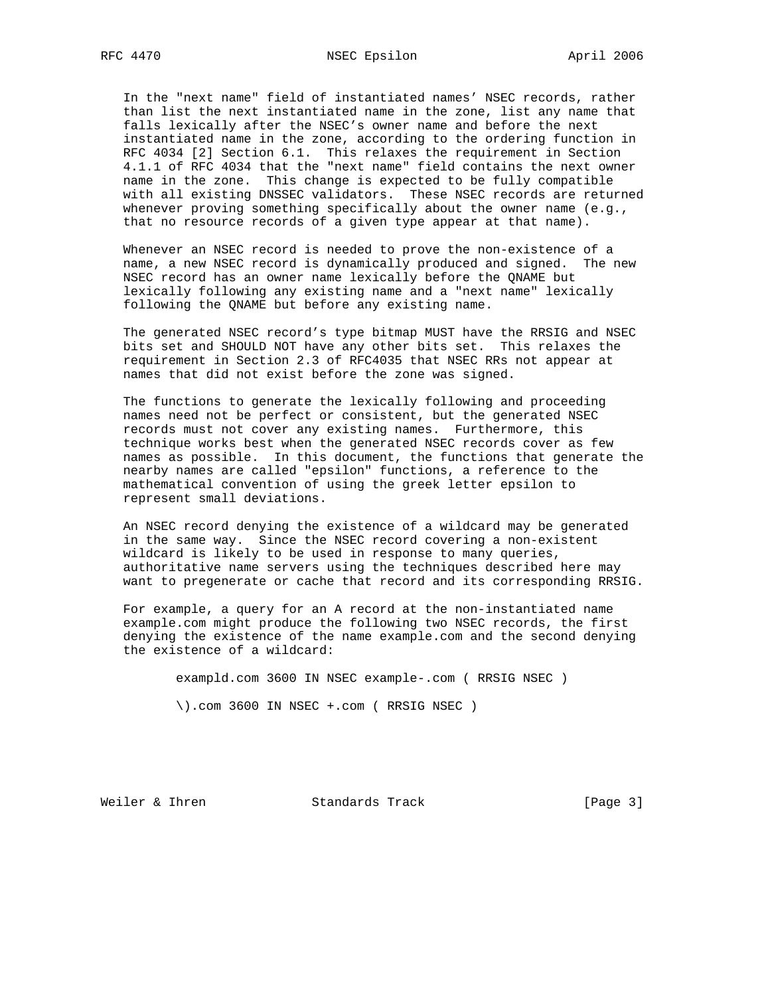In the "next name" field of instantiated names' NSEC records, rather than list the next instantiated name in the zone, list any name that falls lexically after the NSEC's owner name and before the next instantiated name in the zone, according to the ordering function in RFC 4034 [2] Section 6.1. This relaxes the requirement in Section 4.1.1 of RFC 4034 that the "next name" field contains the next owner name in the zone. This change is expected to be fully compatible with all existing DNSSEC validators. These NSEC records are returned whenever proving something specifically about the owner name (e.g., that no resource records of a given type appear at that name).

 Whenever an NSEC record is needed to prove the non-existence of a name, a new NSEC record is dynamically produced and signed. The new NSEC record has an owner name lexically before the QNAME but lexically following any existing name and a "next name" lexically following the QNAME but before any existing name.

 The generated NSEC record's type bitmap MUST have the RRSIG and NSEC bits set and SHOULD NOT have any other bits set. This relaxes the requirement in Section 2.3 of RFC4035 that NSEC RRs not appear at names that did not exist before the zone was signed.

The functions to generate the lexically following and proceeding names need not be perfect or consistent, but the generated NSEC records must not cover any existing names. Furthermore, this technique works best when the generated NSEC records cover as few names as possible. In this document, the functions that generate the nearby names are called "epsilon" functions, a reference to the mathematical convention of using the greek letter epsilon to represent small deviations.

 An NSEC record denying the existence of a wildcard may be generated in the same way. Since the NSEC record covering a non-existent wildcard is likely to be used in response to many queries, authoritative name servers using the techniques described here may want to pregenerate or cache that record and its corresponding RRSIG.

 For example, a query for an A record at the non-instantiated name example.com might produce the following two NSEC records, the first denying the existence of the name example.com and the second denying the existence of a wildcard:

exampld.com 3600 IN NSEC example-.com ( RRSIG NSEC )

\).com 3600 IN NSEC +.com ( RRSIG NSEC )

Weiler & Ihren Standards Track [Page 3]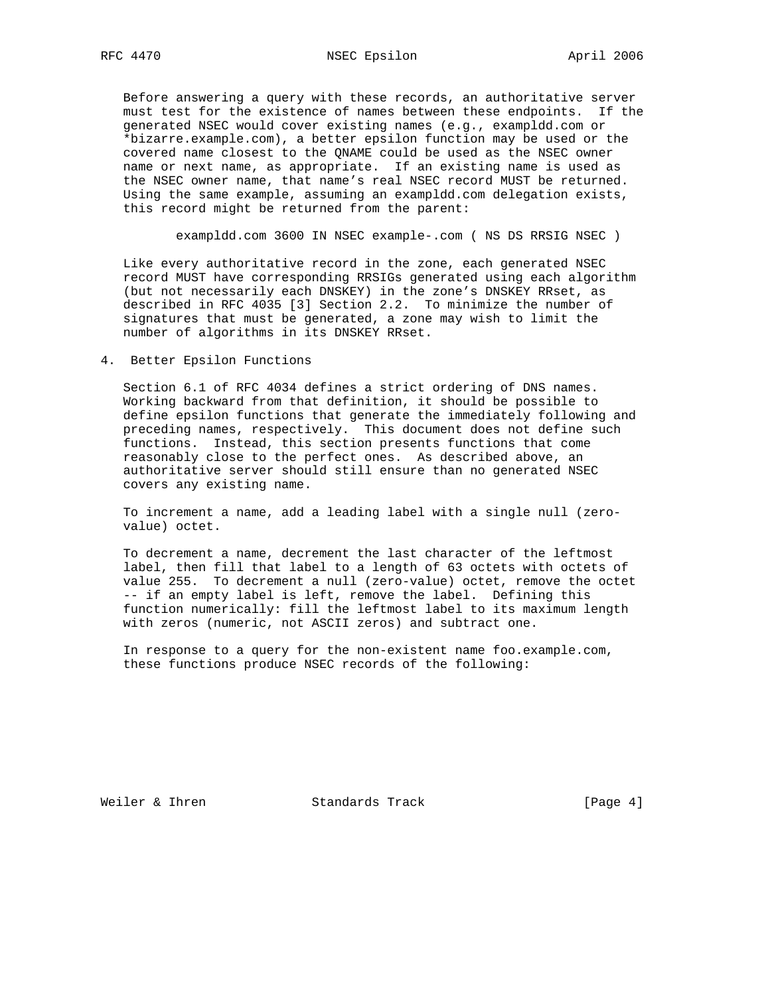Before answering a query with these records, an authoritative server must test for the existence of names between these endpoints. If the generated NSEC would cover existing names (e.g., exampldd.com or \*bizarre.example.com), a better epsilon function may be used or the covered name closest to the QNAME could be used as the NSEC owner name or next name, as appropriate. If an existing name is used as the NSEC owner name, that name's real NSEC record MUST be returned. Using the same example, assuming an exampldd.com delegation exists, this record might be returned from the parent:

exampldd.com 3600 IN NSEC example-.com ( NS DS RRSIG NSEC )

 Like every authoritative record in the zone, each generated NSEC record MUST have corresponding RRSIGs generated using each algorithm (but not necessarily each DNSKEY) in the zone's DNSKEY RRset, as described in RFC 4035 [3] Section 2.2. To minimize the number of signatures that must be generated, a zone may wish to limit the number of algorithms in its DNSKEY RRset.

4. Better Epsilon Functions

 Section 6.1 of RFC 4034 defines a strict ordering of DNS names. Working backward from that definition, it should be possible to define epsilon functions that generate the immediately following and preceding names, respectively. This document does not define such functions. Instead, this section presents functions that come reasonably close to the perfect ones. As described above, an authoritative server should still ensure than no generated NSEC covers any existing name.

 To increment a name, add a leading label with a single null (zero value) octet.

 To decrement a name, decrement the last character of the leftmost label, then fill that label to a length of 63 octets with octets of value 255. To decrement a null (zero-value) octet, remove the octet -- if an empty label is left, remove the label. Defining this function numerically: fill the leftmost label to its maximum length with zeros (numeric, not ASCII zeros) and subtract one.

 In response to a query for the non-existent name foo.example.com, these functions produce NSEC records of the following:

Weiler & Ihren Standards Track [Page 4]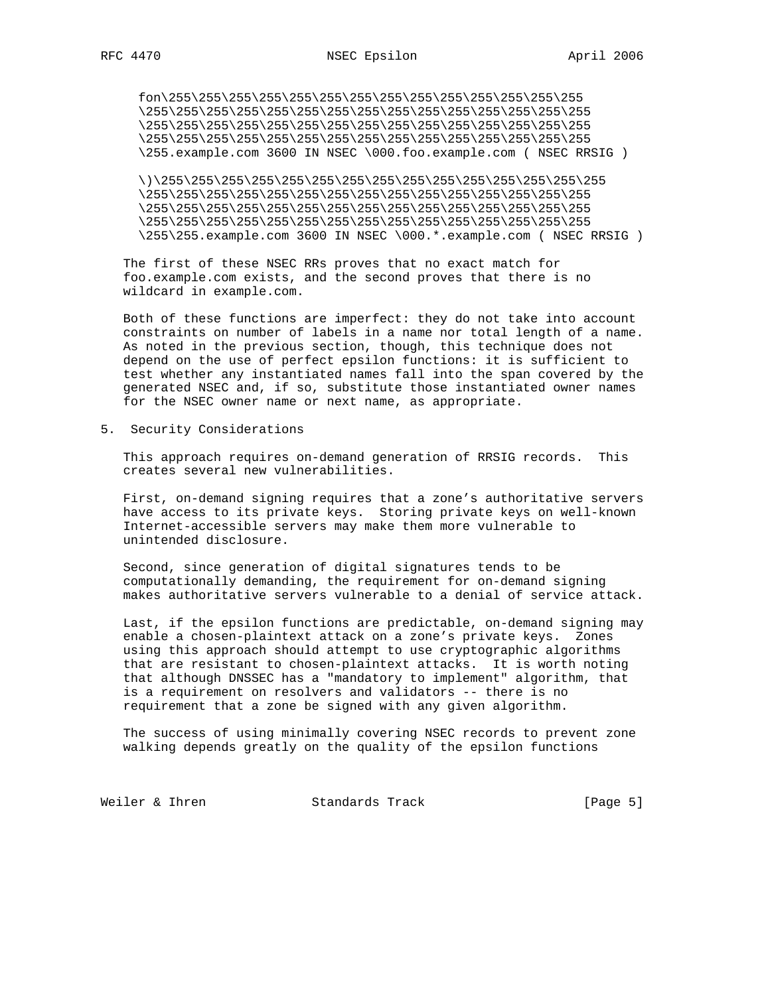fon\255\255\255\255\255\255\255\255\255\255\255\255\255\255 \255\255\255\255\255\255\255\255\255\255\255\255\255\255\255 \255\255\255\255\255\255\255\255\255\255\255\255\255\255\255 \255\255\255\255\255\255\255\255\255\255\255\255\255\255\255 \255.example.com 3600 IN NSEC \000.foo.example.com ( NSEC RRSIG )

 \)\255\255\255\255\255\255\255\255\255\255\255\255\255\255\255 \255\255\255\255\255\255\255\255\255\255\255\255\255\255\255 \255\255\255\255\255\255\255\255\255\255\255\255\255\255\255 \255\255\255\255\255\255\255\255\255\255\255\255\255\255\255 \255\255.example.com 3600 IN NSEC \000.\*.example.com ( NSEC RRSIG )

 The first of these NSEC RRs proves that no exact match for foo.example.com exists, and the second proves that there is no wildcard in example.com.

 Both of these functions are imperfect: they do not take into account constraints on number of labels in a name nor total length of a name. As noted in the previous section, though, this technique does not depend on the use of perfect epsilon functions: it is sufficient to test whether any instantiated names fall into the span covered by the generated NSEC and, if so, substitute those instantiated owner names for the NSEC owner name or next name, as appropriate.

5. Security Considerations

 This approach requires on-demand generation of RRSIG records. This creates several new vulnerabilities.

 First, on-demand signing requires that a zone's authoritative servers have access to its private keys. Storing private keys on well-known Internet-accessible servers may make them more vulnerable to unintended disclosure.

 Second, since generation of digital signatures tends to be computationally demanding, the requirement for on-demand signing makes authoritative servers vulnerable to a denial of service attack.

 Last, if the epsilon functions are predictable, on-demand signing may enable a chosen-plaintext attack on a zone's private keys. Zones using this approach should attempt to use cryptographic algorithms that are resistant to chosen-plaintext attacks. It is worth noting that although DNSSEC has a "mandatory to implement" algorithm, that is a requirement on resolvers and validators -- there is no requirement that a zone be signed with any given algorithm.

 The success of using minimally covering NSEC records to prevent zone walking depends greatly on the quality of the epsilon functions

Weiler & Ihren Standards Track [Page 5]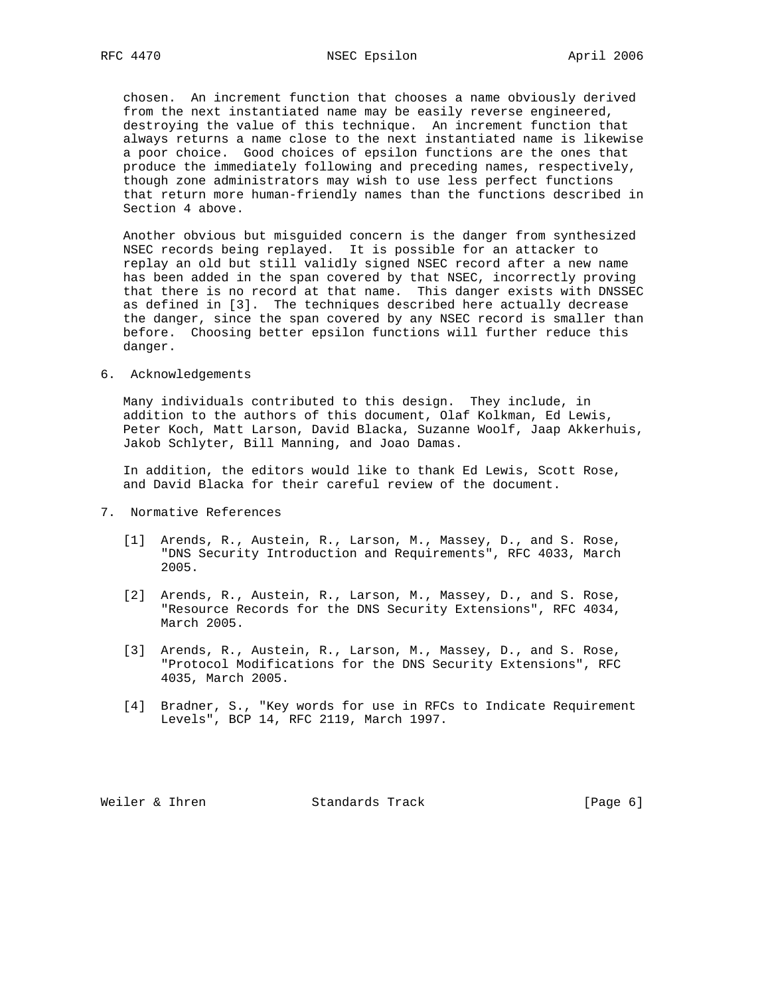chosen. An increment function that chooses a name obviously derived from the next instantiated name may be easily reverse engineered, destroying the value of this technique. An increment function that always returns a name close to the next instantiated name is likewise a poor choice. Good choices of epsilon functions are the ones that produce the immediately following and preceding names, respectively, though zone administrators may wish to use less perfect functions that return more human-friendly names than the functions described in Section 4 above.

 Another obvious but misguided concern is the danger from synthesized NSEC records being replayed. It is possible for an attacker to replay an old but still validly signed NSEC record after a new name has been added in the span covered by that NSEC, incorrectly proving that there is no record at that name. This danger exists with DNSSEC as defined in [3]. The techniques described here actually decrease the danger, since the span covered by any NSEC record is smaller than before. Choosing better epsilon functions will further reduce this danger.

## 6. Acknowledgements

 Many individuals contributed to this design. They include, in addition to the authors of this document, Olaf Kolkman, Ed Lewis, Peter Koch, Matt Larson, David Blacka, Suzanne Woolf, Jaap Akkerhuis, Jakob Schlyter, Bill Manning, and Joao Damas.

 In addition, the editors would like to thank Ed Lewis, Scott Rose, and David Blacka for their careful review of the document.

- 7. Normative References
	- [1] Arends, R., Austein, R., Larson, M., Massey, D., and S. Rose, "DNS Security Introduction and Requirements", RFC 4033, March 2005.
	- [2] Arends, R., Austein, R., Larson, M., Massey, D., and S. Rose, "Resource Records for the DNS Security Extensions", RFC 4034, March 2005.
	- [3] Arends, R., Austein, R., Larson, M., Massey, D., and S. Rose, "Protocol Modifications for the DNS Security Extensions", RFC 4035, March 2005.
	- [4] Bradner, S., "Key words for use in RFCs to Indicate Requirement Levels", BCP 14, RFC 2119, March 1997.

Weiler & Ihren Standards Track [Page 6]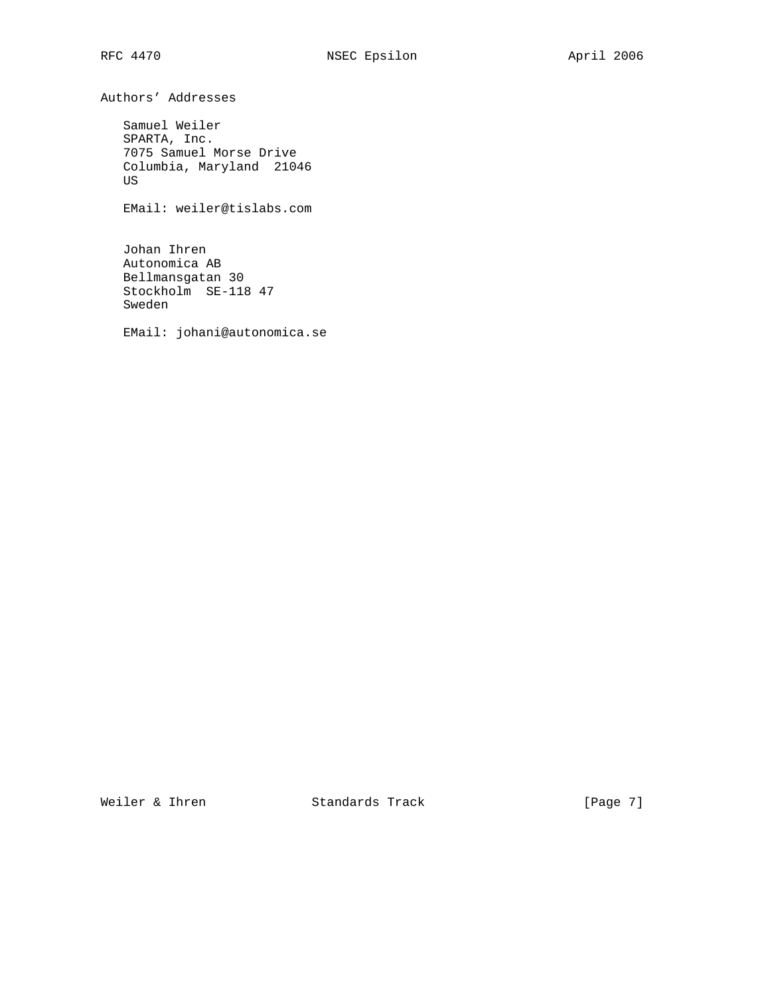Authors' Addresses

 Samuel Weiler SPARTA, Inc. 7075 Samuel Morse Drive Columbia, Maryland 21046 US

EMail: weiler@tislabs.com

 Johan Ihren Autonomica AB Bellmansgatan 30 Stockholm SE-118 47 Sweden

EMail: johani@autonomica.se

Weiler & Ihren Standards Track [Page 7]